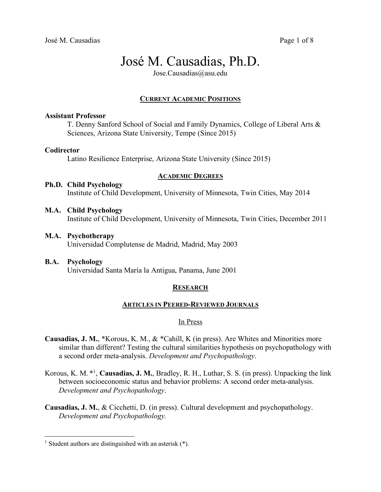# José M. Causadias, Ph.D.

Jose.Causadias@asu.edu

# **CURRENT ACADEMIC POSITIONS**

# **Assistant Professor**

T. Denny Sanford School of Social and Family Dynamics, College of Liberal Arts & Sciences, Arizona State University, Tempe (Since 2015)

# **Codirector**

Latino Resilience Enterprise, Arizona State University (Since 2015)

# **ACADEMIC DEGREES**

# **Ph.D. Child Psychology**

Institute of Child Development, University of Minnesota, Twin Cities, May 2014

## **M.A. Child Psychology**

Institute of Child Development, University of Minnesota, Twin Cities, December 2011

**M.A. Psychotherapy** 

Universidad Complutense de Madrid, Madrid, May 2003

**B.A. Psychology**  Universidad Santa María la Antigua, Panama, June 2001

# **RESEARCH**

## **ARTICLES IN PEERED-REVIEWED JOURNALS**

# In Press

- **Causadias, J. M.**, \*Korous, K. M., & \*Cahill, K (in press). Are Whites and Minorities more similar than different? Testing the cultural similarities hypothesis on psychopathology with a second order meta-analysis. *Development and Psychopathology*.
- Korous, K. M. \*1, **Causadias, J. M.**, Bradley, R. H., Luthar, S. S. (in press). Unpacking the link between socioeconomic status and behavior problems: A second order meta-analysis. *Development and Psychopathology*.
- **Causadias, J. M.**, & Cicchetti, D. (in press). Cultural development and psychopathology. *Development and Psychopathology.*

<sup>&</sup>lt;sup>1</sup> Student authors are distinguished with an asterisk  $(*)$ .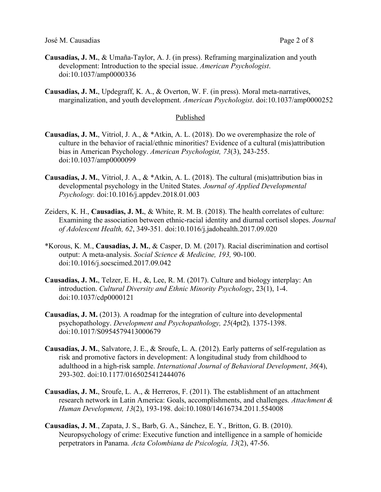José M. Causadias Page 2 of 8

- **Causadias, J. M.**, & Umaña-Taylor, A. J. (in press). Reframing marginalization and youth development: Introduction to the special issue. *American Psychologist*. doi:10.1037/amp0000336
- **Causadias, J. M.**, Updegraff, K. A., & Overton, W. F. (in press). Moral meta-narratives, marginalization, and youth development. *American Psychologist*. doi:10.1037/amp0000252

## Published

- **Causadias, J. M.**, Vitriol, J. A., & \*Atkin, A. L. (2018). Do we overemphasize the role of culture in the behavior of racial/ethnic minorities? Evidence of a cultural (mis)attribution bias in American Psychology. *American Psychologist, 73*(3), 243-255. doi:10.1037/amp0000099
- **Causadias, J. M.**, Vitriol, J. A., & \*Atkin, A. L. (2018). The cultural (mis)attribution bias in developmental psychology in the United States. *Journal of Applied Developmental Psychology.* doi:10.1016/j.appdev.2018.01.003
- Zeiders, K. H., **Causadias, J. M.**, & White, R. M. B. (2018). The health correlates of culture: Examining the association between ethnic-racial identity and diurnal cortisol slopes. *Journal of Adolescent Health, 62*, 349-351*.* doi:10.1016/j.jadohealth.2017.09.020
- \*Korous, K. M., **Causadias, J. M.**, & Casper, D. M. (2017). Racial discrimination and cortisol output: A meta-analysis. *Social Science & Medicine, 193,* 90-100. doi:10.1016/j.socscimed.2017.09.042
- **Causadias, J. M.**, Telzer, E. H., &, Lee, R. M. (2017). Culture and biology interplay: An introduction. *Cultural Diversity and Ethnic Minority Psychology*, 23(1), 1-4. doi:10.1037/cdp0000121
- **Causadias, J. M.** (2013). A roadmap for the integration of culture into developmental psychopathology. *Development and Psychopathology, 25*(4pt2)*,* 1375-1398. doi:10.1017/S0954579413000679
- **Causadias, J. M.**, Salvatore, J. E., & Sroufe, L. A. (2012). Early patterns of self-regulation as risk and promotive factors in development: A longitudinal study from childhood to adulthood in a high-risk sample. *International Journal of Behavioral Development*, *36*(4), 293-302. doi:10.1177/0165025412444076
- **Causadias, J. M.**, Sroufe, L. A., & Herreros, F. (2011). The establishment of an attachment research network in Latin America: Goals, accomplishments, and challenges. *Attachment & Human Development, 13*(2), 193-198. doi:10.1080/14616734.2011.554008
- **Causadias, J. M**., Zapata, J. S., Barb, G. A., Sánchez, E. Y., Britton, G. B. (2010). Neuropsychology of crime: Executive function and intelligence in a sample of homicide perpetrators in Panama. *Acta Colombiana de Psicología, 13*(2), 47-56.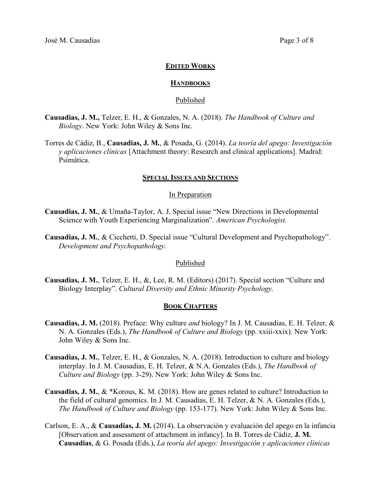### **EDITED WORKS**

#### **HANDBOOKS**

#### Published

- **Causadias, J. M.,** Telzer, E. H., & Gonzales, N. A. (2018). *The Handbook of Culture and Biology*. New York: John Wiley & Sons Inc.
- Torres de Cádiz, B., **Causadias, J. M.**, & Posada, G. (2014). *La teoría del apego: Investigación y aplicaciones clínicas* [Attachment theory: Research and clinical applications]. Madrid: Psimática.

### **SPECIAL ISSUES AND SECTIONS**

## In Preparation

- **Causadias, J. M.**, & Umaña-Taylor, A. J. Special issue "New Directions in Developmental Science with Youth Experiencing Marginalization". *American Psychologist.*
- **Causadias, J. M.**, & Cicchetti, D. Special issue "Cultural Development and Psychopathology". *Development and Psychopathology.*

## Published

**Causadias, J. M.**, Telzer, E. H., &, Lee, R. M. (Editors) (2017). Special section "Culture and Biology Interplay". *Cultural Diversity and Ethnic Minority Psychology.*

#### **BOOK CHAPTERS**

- **Causadias, J. M.** (2018). Preface: Why culture *and* biology? In J. M. Causadias, E. H. Telzer, & N. A. Gonzales (Eds.), *The Handbook of Culture and Biology* (pp. xxiii-xxix). New York: John Wiley & Sons Inc.
- **Causadias, J. M.**, Telzer, E. H., & Gonzales, N. A. (2018). Introduction to culture and biology interplay. In J. M. Causadias, E. H. Telzer, & N.A. Gonzales (Eds.), *The Handbook of Culture and Biology* (pp. 3-29). New York: John Wiley & Sons Inc.
- **Causadias, J. M.**, & \*Korous, K. M. (2018). How are genes related to culture? Introduction to the field of cultural genomics. In J. M. Causadias, E. H. Telzer, & N. A. Gonzales (Eds.), *The Handbook of Culture and Biology* (pp. 153-177). New York: John Wiley & Sons Inc.
- Carlson, E. A., & **Causadias, J. M.** (2014). La observación y evaluación del apego en la infancia [Observation and assessment of attachment in infancy]. In B. Torres de Cádiz, **J. M. Causadias**, & G. Posada (Eds.), *La teoría del apego: Investigación y aplicaciones clínicas*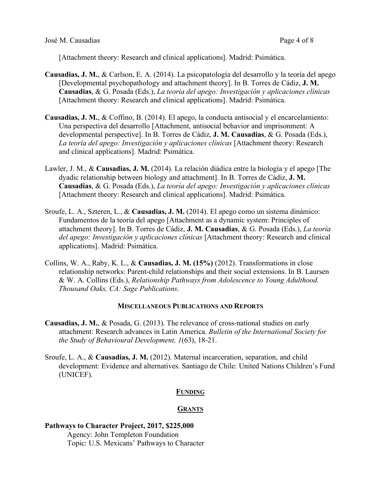[Attachment theory: Research and clinical applications]. Madrid: Psimática.

- **Causadias, J. M.**, & Carlson, E. A. (2014). La psicopatología del desarrollo y la teoría del apego [Developmental psychopathology and attachment theory]. In B. Torres de Cádiz, **J. M. Causadias**, & G. Posada (Eds.), *La teoría del apego: Investigación y aplicaciones clínicas* [Attachment theory: Research and clinical applications]. Madrid: Psimática.
- **Causadias, J. M.**, & Coffino, B. (2014). El apego, la conducta antisocial y el encarcelamiento: Una perspectiva del desarrollo [Attachment, antisocial behavior and imprisonment: A developmental perspective]. In B. Torres de Cádiz, **J. M. Causadias**, & G. Posada (Eds.), *La teoría del apego: Investigación y aplicaciones clínicas* [Attachment theory: Research and clinical applications]. Madrid: Psimática.
- Lawler, J. M., & **Causadias, J. M.** (2014). La relación diádica entre la biología y el apego [The dyadic relationship between biology and attachment]. In B. Torres de Cádiz, **J. M. Causadias**, & G. Posada (Eds.), *La teoría del apego: Investigación y aplicaciones clínicas* [Attachment theory: Research and clinical applications]. Madrid: Psimática.
- Sroufe, L. A., Szteren, L., & **Causadias, J. M.** (2014). El apego como un sistema dinámico: Fundamentos de la teoría del apego [Attachment as a dynamic system: Principles of attachment theory]. In B. Torres de Cádiz, **J. M. Causadias**, & G. Posada (Eds.), *La teoría del apego: Investigación y aplicaciones clínicas* [Attachment theory: Research and clinical applications]. Madrid: Psimática.
- Collins, W. A., Raby, K. L., & **Causadias, J. M. (15%)** (2012). Transformations in close relationship networks: Parent-child relationships and their social extensions. In B. Laursen & W. A. Collins (Eds.), *Relationship Pathways from Adolescence to Young Adulthood. Thousand Oaks, CA: Sage Publications*.

# **MISCELLANEOUS PUBLICATIONS AND REPORTS**

- **Causadias, J. M.**, & Posada, G. (2013). The relevance of cross-national studies on early attachment: Research advances in Latin America. *Bulletin of the International Society for the Study of Behavioural Development, 1*(63), 18-21.
- Sroufe, L. A., & **Causadias, J. M.** (2012). Maternal incarceration, separation, and child development: Evidence and alternatives. Santiago de Chile: United Nations Children's Fund (UNICEF).

# **FUNDING**

# **GRANTS**

# **Pathways to Character Project, 2017, \$225,000** Agency: John Templeton Foundation Topic: U.S. Mexicans' Pathways to Character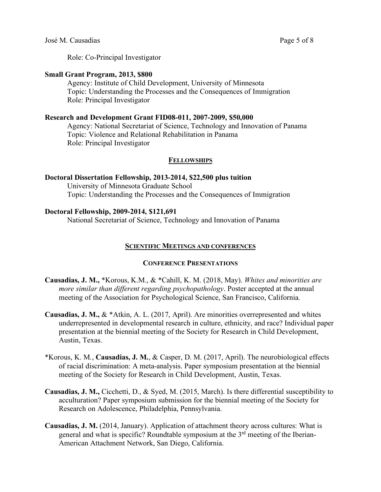Role: Co-Principal Investigator

## **Small Grant Program, 2013, \$800**

Agency: Institute of Child Development, University of Minnesota Topic: Understanding the Processes and the Consequences of Immigration Role: Principal Investigator

## **Research and Development Grant FID08-011, 2007-2009, \$50,000**

Agency: National Secretariat of Science, Technology and Innovation of Panama Topic: Violence and Relational Rehabilitation in Panama Role: Principal Investigator

## **FELLOWSHIPS**

## **Doctoral Dissertation Fellowship, 2013-2014, \$22,500 plus tuition**

University of Minnesota Graduate School Topic: Understanding the Processes and the Consequences of Immigration

## **Doctoral Fellowship, 2009-2014, \$121,691**

National Secretariat of Science, Technology and Innovation of Panama

# **SCIENTIFIC MEETINGS AND CONFERENCES**

## **CONFERENCE PRESENTATIONS**

- **Causadias, J. M.,** \*Korous, K.M., & \*Cahill, K. M. (2018, May). *Whites and minorities are more similar than different regarding psychopathology*. Poster accepted at the annual meeting of the Association for Psychological Science, San Francisco, California.
- **Causadias, J. M.,** & \*Atkin, A. L. (2017, April). Are minorities overrepresented and whites underrepresented in developmental research in culture, ethnicity, and race? Individual paper presentation at the biennial meeting of the Society for Research in Child Development, Austin, Texas.
- \*Korous, K. M*.*, **Causadias, J. M.**, & Casper, D. M. (2017, April). The neurobiological effects of racial discrimination: A meta-analysis. Paper symposium presentation at the biennial meeting of the Society for Research in Child Development, Austin, Texas.
- **Causadias, J. M.,** Cicchetti, D., & Syed, M. (2015, March). Is there differential susceptibility to acculturation? Paper symposium submission for the biennial meeting of the Society for Research on Adolescence, Philadelphia, Pennsylvania.
- **Causadias, J. M.** (2014, January). Application of attachment theory across cultures: What is general and what is specific? Roundtable symposium at the 3rd meeting of the Iberian-American Attachment Network, San Diego, California.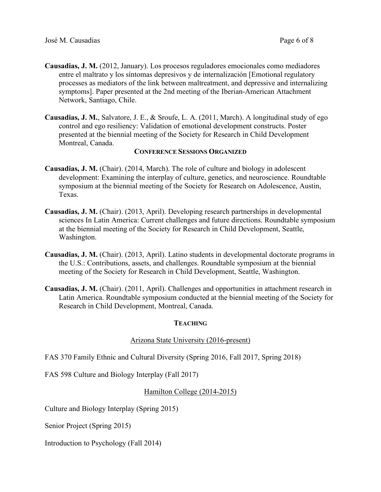- **Causadias, J. M.** (2012, January). Los procesos reguladores emocionales como mediadores entre el maltrato y los síntomas depresivos y de internalización [Emotional regulatory processes as mediators of the link between maltreatment, and depressive and internalizing symptoms]. Paper presented at the 2nd meeting of the Iberian-American Attachment Network, Santiago, Chile.
- **Causadias, J. M.**, Salvatore, J. E., & Sroufe, L. A. (2011, March). A longitudinal study of ego control and ego resiliency: Validation of emotional development constructs. Poster presented at the biennial meeting of the Society for Research in Child Development Montreal, Canada.

## **CONFERENCE SESSIONS ORGANIZED**

- **Causadias, J. M.** (Chair). (2014, March). The role of culture and biology in adolescent development: Examining the interplay of culture, genetics, and neuroscience. Roundtable symposium at the biennial meeting of the Society for Research on Adolescence, Austin, Texas.
- **Causadias, J. M.** (Chair). (2013, April). Developing research partnerships in developmental sciences In Latin America: Current challenges and future directions. Roundtable symposium at the biennial meeting of the Society for Research in Child Development, Seattle, Washington.
- **Causadias, J. M.** (Chair). (2013, April). Latino students in developmental doctorate programs in the U.S.: Contributions, assets, and challenges. Roundtable symposium at the biennial meeting of the Society for Research in Child Development, Seattle, Washington.
- **Causadias, J. M.** (Chair). (2011, April). Challenges and opportunities in attachment research in Latin America. Roundtable symposium conducted at the biennial meeting of the Society for Research in Child Development, Montreal, Canada.

# **TEACHING**

# Arizona State University (2016-present)

FAS 370 Family Ethnic and Cultural Diversity (Spring 2016, Fall 2017, Spring 2018)

FAS 598 Culture and Biology Interplay (Fall 2017)

# Hamilton College (2014-2015)

Culture and Biology Interplay (Spring 2015)

Senior Project (Spring 2015)

Introduction to Psychology (Fall 2014)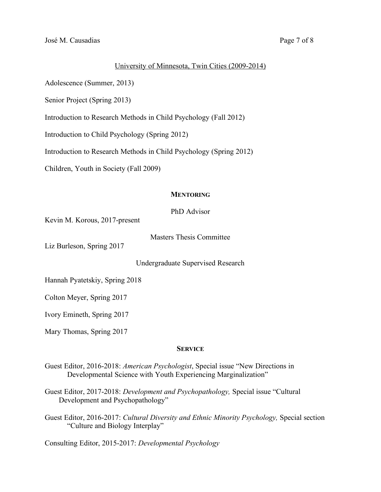## University of Minnesota, Twin Cities (2009-2014)

Adolescence (Summer, 2013)

Senior Project (Spring 2013)

Introduction to Research Methods in Child Psychology (Fall 2012)

Introduction to Child Psychology (Spring 2012)

Introduction to Research Methods in Child Psychology (Spring 2012)

Children, Youth in Society (Fall 2009)

# **MENTORING**

PhD Advisor

Kevin M. Korous, 2017-present

Masters Thesis Committee

Liz Burleson, Spring 2017

Undergraduate Supervised Research

Hannah Pyatetskiy, Spring 2018

Colton Meyer, Spring 2017

Ivory Emineth, Spring 2017

Mary Thomas, Spring 2017

## **SERVICE**

- Guest Editor, 2016-2018: *American Psychologist*, Special issue "New Directions in Developmental Science with Youth Experiencing Marginalization"
- Guest Editor, 2017-2018: *Development and Psychopathology,* Special issue "Cultural Development and Psychopathology"
- Guest Editor, 2016-2017: *Cultural Diversity and Ethnic Minority Psychology,* Special section "Culture and Biology Interplay"

Consulting Editor, 2015-2017: *Developmental Psychology*